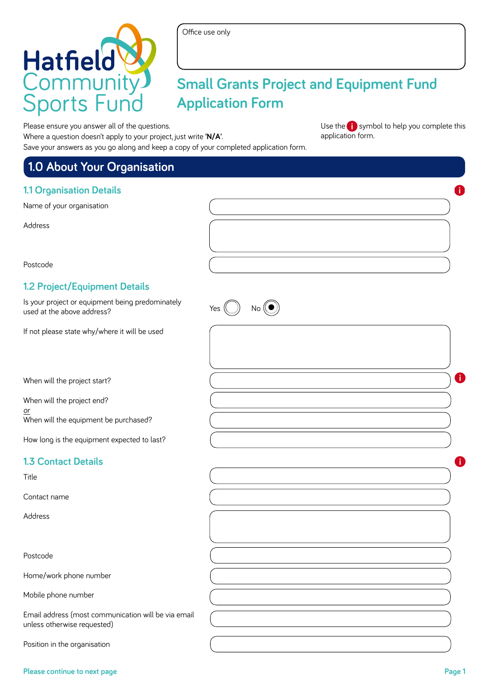

# **Small Grants Project and Equipment Fund Application Form**

Please ensure you answer all of the questions.

Where a question doesn't apply to your project, just write **'N/A'**. Save your answers as you go along and keep a copy of your completed application form.

Use the **i** symbol to help you complete this application form.

| 1.0 About Your Organisation                                                        |             |   |
|------------------------------------------------------------------------------------|-------------|---|
| <b>1.1 Organisation Details</b>                                                    |             | f |
| Name of your organisation                                                          |             |   |
| Address                                                                            |             |   |
| Postcode                                                                           |             |   |
| 1.2 Project/Equipment Details                                                      |             |   |
| Is your project or equipment being predominately<br>used at the above address?     | Yes<br>No l |   |
| If not please state why/where it will be used                                      |             |   |
| When will the project start?                                                       |             | 0 |
| When will the project end?<br>or                                                   |             |   |
| When will the equipment be purchased?                                              |             |   |
| How long is the equipment expected to last?                                        |             |   |
| <b>1.3 Contact Details</b>                                                         |             | Ð |
| Title                                                                              |             |   |
| Contact name                                                                       |             |   |
| Address                                                                            |             |   |
| Postcode                                                                           |             |   |
| Home/work phone number                                                             |             |   |
| Mobile phone number                                                                |             |   |
| Email address (most communication will be via email<br>unless otherwise requested) |             |   |
| Position in the organisation                                                       |             |   |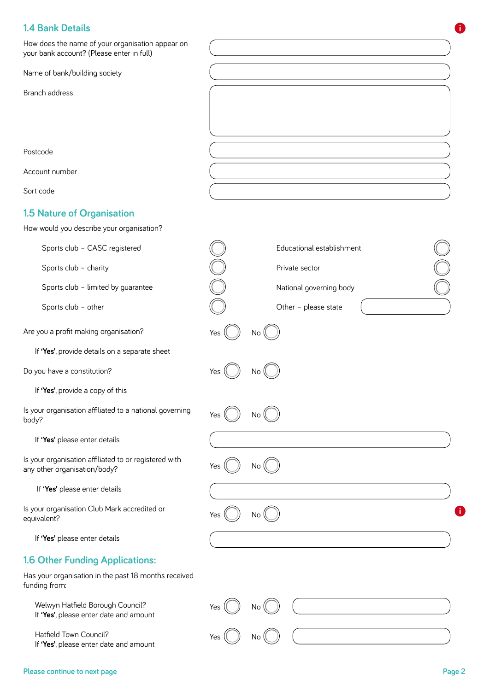# **1.4 Bank Details**

| How does the name of your organisation appear on<br>your bank account? (Please enter in full) |     |                           |
|-----------------------------------------------------------------------------------------------|-----|---------------------------|
| Name of bank/building society                                                                 |     |                           |
| Branch address                                                                                |     |                           |
| Postcode                                                                                      |     |                           |
| Account number                                                                                |     |                           |
| Sort code                                                                                     |     |                           |
| <b>1.5 Nature of Organisation</b><br>How would you describe your organisation?                |     |                           |
| Sports club - CASC registered                                                                 |     | Educational establishment |
| Sports club - charity                                                                         |     | Private sector            |
| Sports club - limited by guarantee                                                            |     | National governing body   |
| Sports club - other                                                                           |     | Other - please state      |
| Are you a profit making organisation?                                                         | Yes | No.                       |
| If 'Yes', provide details on a separate sheet                                                 |     |                           |
| Do you have a constitution?                                                                   | Yes | NO.                       |
| If 'Yes', provide a copy of this                                                              |     |                           |
| Is your organisation affiliated to a national governing<br>body?                              |     | NO.                       |
| If 'Yes' please enter details                                                                 |     |                           |
| Is your organisation affiliated to or registered with<br>any other organisation/body?         | Yes | No.                       |
| If 'Yes' please enter details                                                                 |     |                           |
| Is your organisation Club Mark accredited or<br>equivalent?                                   | Yes | No.                       |
| If 'Yes' please enter details                                                                 |     |                           |
| 1.6 Other Funding Applications:                                                               |     |                           |
| Has your organisation in the past 18 months received<br>funding from:                         |     |                           |
| Welwyn Hatfield Borough Council?<br>If 'Yes', please enter date and amount                    | Yes | No.                       |
| Hatfield Town Council?<br>If 'Yes', please enter date and amount                              | Yes | No                        |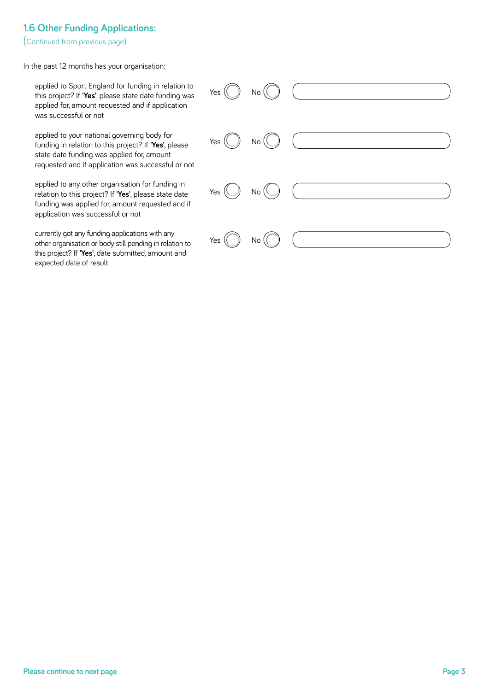#### **1.6 Other Funding Applications:**

(Continued from previous page)

In the past 12 months has your organisation:

 applied to Sport England for funding in relation to Yes  $\left(\begin{array}{c} \searrow \end{array}\right)$  No ( Yes  $($   $)$  No Yes  $\bigcup$  No Yes  $($   $)$  No

this project? If **'Yes'**, please state date funding was applied for, amount requested and if application was successful or not

 applied to your national governing body for funding in relation to this project? If **'Yes'**, please state date funding was applied for, amount requested and if application was successful or not

 applied to any other organisation for funding in relation to this project? If **'Yes'**, please state date funding was applied for, amount requested and if application was successful or not

 currently got any funding applications with any other organisation or body still pending in relation to this project? If **'Yes'**, date submitted, amount and expected date of result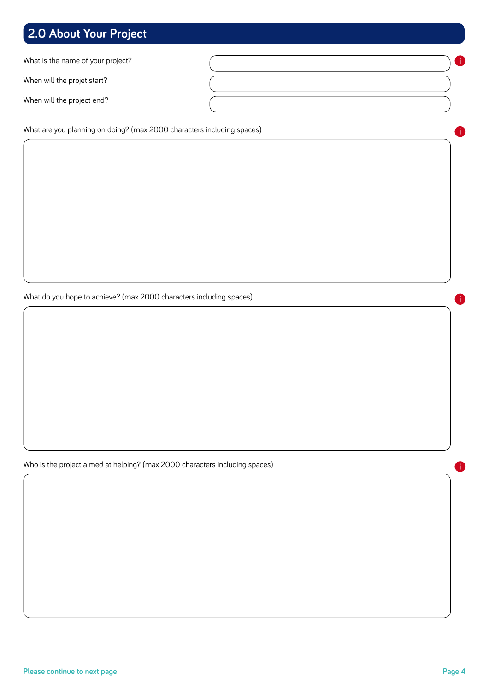# **2.0 About Your Project**

What is the name of your project?

When will the projet start?

When will the project end?

What are you planning on doing? (max 2000 characters including spaces)

What do you hope to achieve? (max 2000 characters including spaces)

Who is the project aimed at helping? (max 2000 characters including spaces)

**i**

**i**

**i**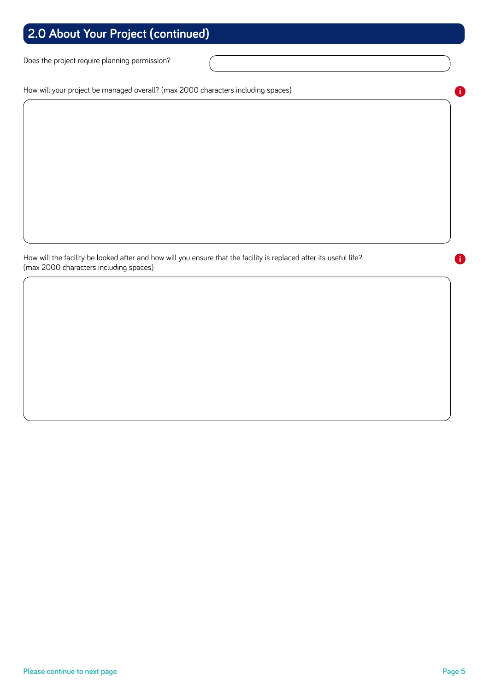# **2.0 About Your Project (continued)**

Does the project require planning permission?

How will your project be managed overall? (max 2000 characters including spaces)

How will the facility be looked after and how will you ensure that the facility is replaced after its useful life? (max 2000 characters including spaces)

**i**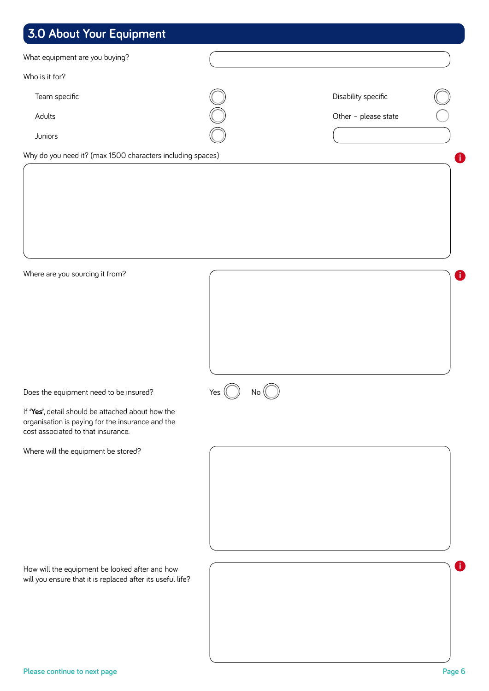# **3.0 About Your Equipment**

| What equipment are you buying?                                                         |           |                      |             |
|----------------------------------------------------------------------------------------|-----------|----------------------|-------------|
| Who is it for?                                                                         |           |                      |             |
| Team specific                                                                          |           | Disability specific  |             |
| Adults                                                                                 |           | Other - please state |             |
| Juniors                                                                                |           |                      |             |
| Why do you need it? (max 1500 characters including spaces)                             |           |                      | 0           |
|                                                                                        |           |                      |             |
|                                                                                        |           |                      |             |
|                                                                                        |           |                      |             |
|                                                                                        |           |                      |             |
|                                                                                        |           |                      |             |
|                                                                                        |           |                      |             |
| Where are you sourcing it from?                                                        |           |                      | $\mathbf 0$ |
|                                                                                        |           |                      |             |
|                                                                                        |           |                      |             |
|                                                                                        |           |                      |             |
|                                                                                        |           |                      |             |
|                                                                                        |           |                      |             |
| Does the equipment need to be insured?                                                 | Yes<br>No |                      |             |
| If 'Yes', detail should be attached about how the                                      |           |                      |             |
| organisation is paying for the insurance and the<br>cost associated to that insurance. |           |                      |             |
| Where will the equipment be stored?                                                    |           |                      |             |
|                                                                                        |           |                      |             |
|                                                                                        |           |                      |             |
|                                                                                        |           |                      |             |
|                                                                                        |           |                      |             |
|                                                                                        |           |                      |             |
|                                                                                        |           |                      |             |
| How will the equipment be looked after and how                                         |           |                      | O.          |
| will you ensure that it is replaced after its useful life?                             |           |                      |             |
|                                                                                        |           |                      |             |
|                                                                                        |           |                      |             |
|                                                                                        |           |                      |             |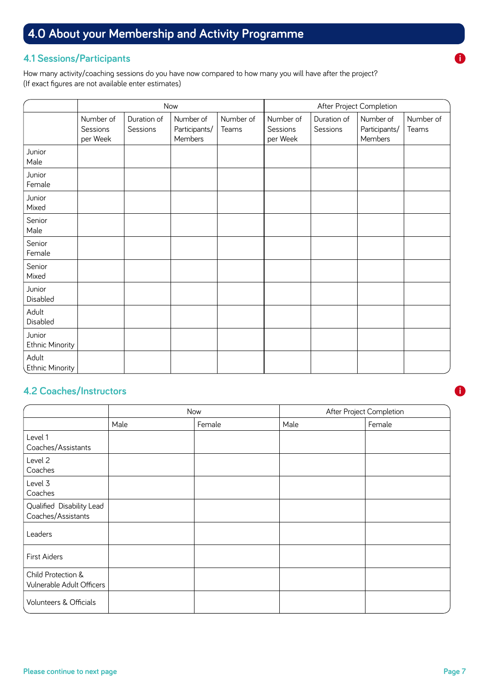# **4.0 About your Membership and Activity Programme**

#### **4.1 Sessions/Participants**

How many activity/coaching sessions do you have now compared to how many you will have after the project? (If exact figures are not available enter estimates)

|                                  | Now                               |                         |                                       | After Project Completion |                                   |                         |                                       |                    |
|----------------------------------|-----------------------------------|-------------------------|---------------------------------------|--------------------------|-----------------------------------|-------------------------|---------------------------------------|--------------------|
|                                  | Number of<br>Sessions<br>per Week | Duration of<br>Sessions | Number of<br>Participants/<br>Members | Number of<br>Teams       | Number of<br>Sessions<br>per Week | Duration of<br>Sessions | Number of<br>Participants/<br>Members | Number of<br>Teams |
| Junior<br>Male                   |                                   |                         |                                       |                          |                                   |                         |                                       |                    |
| Junior<br>Female                 |                                   |                         |                                       |                          |                                   |                         |                                       |                    |
| Junior<br>Mixed                  |                                   |                         |                                       |                          |                                   |                         |                                       |                    |
| Senior<br>Male                   |                                   |                         |                                       |                          |                                   |                         |                                       |                    |
| Senior<br>Female                 |                                   |                         |                                       |                          |                                   |                         |                                       |                    |
| Senior<br>Mixed                  |                                   |                         |                                       |                          |                                   |                         |                                       |                    |
| Junior<br>Disabled               |                                   |                         |                                       |                          |                                   |                         |                                       |                    |
| Adult<br>Disabled                |                                   |                         |                                       |                          |                                   |                         |                                       |                    |
| Junior<br><b>Ethnic Minority</b> |                                   |                         |                                       |                          |                                   |                         |                                       |                    |
| Adult<br><b>Ethnic Minority</b>  |                                   |                         |                                       |                          |                                   |                         |                                       |                    |

#### **4.2 Coaches/Instructors**

|                                                 | Now  |        | After Project Completion |        |  |
|-------------------------------------------------|------|--------|--------------------------|--------|--|
|                                                 | Male | Female | Male                     | Female |  |
| Level 1<br>Coaches/Assistants                   |      |        |                          |        |  |
| Level 2<br>Coaches                              |      |        |                          |        |  |
| Level 3<br>Coaches                              |      |        |                          |        |  |
| Qualified Disability Lead<br>Coaches/Assistants |      |        |                          |        |  |
| Leaders                                         |      |        |                          |        |  |
| First Aiders                                    |      |        |                          |        |  |
| Child Protection &<br>Vulnerable Adult Officers |      |        |                          |        |  |
| Volunteers & Officials                          |      |        |                          |        |  |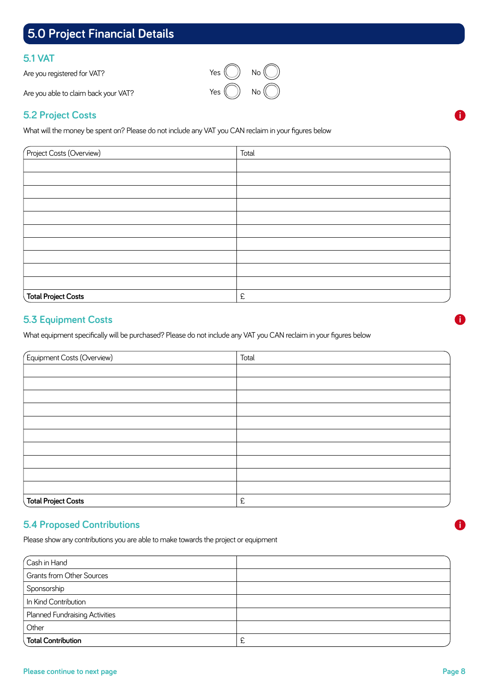# **5.0 Project Financial Details**

#### **5.1 VAT**

Are you registered for VAT?

Are you able to claim back your VAT?

#### **5.2 Project Costs**

What will the money be spent on? Please do not include any VAT you CAN reclaim in your figures below

| Project Costs (Overview)   | Total |  |
|----------------------------|-------|--|
|                            |       |  |
|                            |       |  |
|                            |       |  |
|                            |       |  |
|                            |       |  |
|                            |       |  |
|                            |       |  |
|                            |       |  |
|                            |       |  |
|                            |       |  |
| <b>Total Project Costs</b> | £     |  |

#### **5.3 Equipment Costs**

What equipment specifically will be purchased? Please do not include any VAT you CAN reclaim in your figures below

| Equipment Costs (Overview) | Total |  |
|----------------------------|-------|--|
|                            |       |  |
|                            |       |  |
|                            |       |  |
|                            |       |  |
|                            |       |  |
|                            |       |  |
|                            |       |  |
|                            |       |  |
|                            |       |  |
|                            |       |  |
| <b>Total Project Costs</b> | £     |  |

#### **5.4 Proposed Contributions**

Please show any contributions you are able to make towards the project or equipment

| $\sqrt{\mathsf{Cash}}$ in Hand        |   |
|---------------------------------------|---|
| <b>Grants from Other Sources</b>      |   |
| Sponsorship                           |   |
| In Kind Contribution                  |   |
| <b>Planned Fundraising Activities</b> |   |
| Other                                 |   |
| Total Contribution                    | 辶 |



**i**

**i**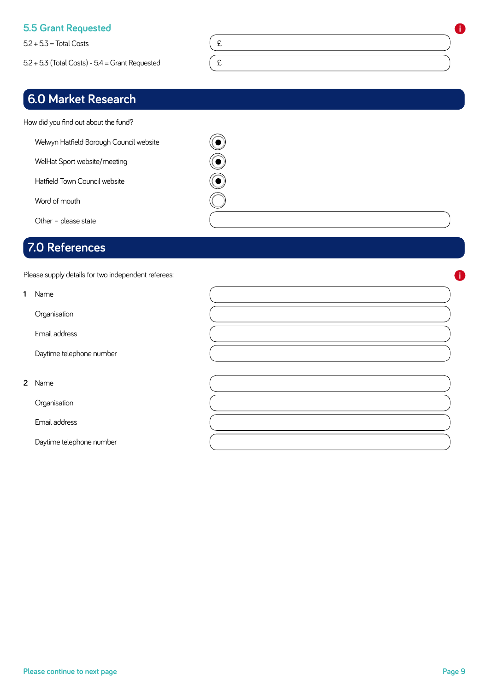#### **5.5 Grant Requested**

 $5.2 + 5.3 = \text{Total Costs}$   $\left( \begin{array}{c} 2 \\ 1 \end{array} \right)$ 

 $5.2 + 5.3$  (Total Costs) -  $5.4$  = Grant Requested  $\left( \begin{array}{c} 2 \end{array} \right)$ 

# **6.0 Market Research**

How did you find out about the fund?

Welwyn Hatfield Borough Council website

WelHat Sport website/meeting

Hatfield Town Council website

Word of mouth

Other – please state

# **7.0 Applicant's Declaration References**

Please supply details for two independent referees:

| 1 Name                   |  |
|--------------------------|--|
| Organisation             |  |
| Email address            |  |
| Daytime telephone number |  |
|                          |  |
| 2 Name                   |  |
| Organisation             |  |
| Email address            |  |
| Daytime telephone number |  |

0000

**i**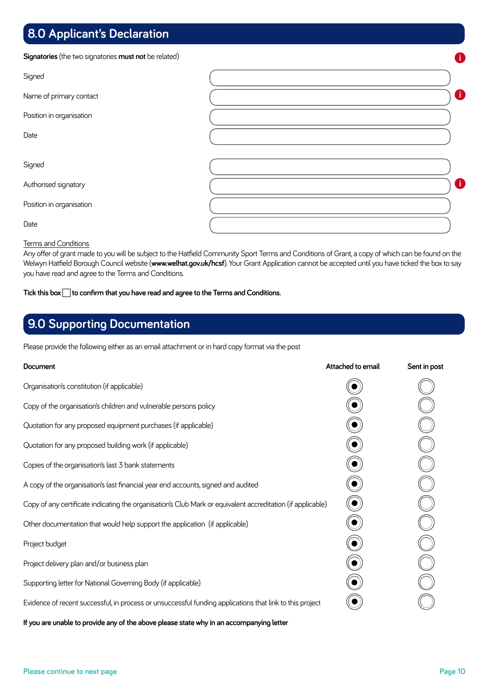# **8.0 Applicant's Declaration**

**Signatories** (the two signatories **must not** be related)

| <b>Signatories</b> (the two signatories <b>must not</b> be related) | 0 |
|---------------------------------------------------------------------|---|
| Signed                                                              |   |
| Name of primary contact                                             | 8 |
| Position in organisation                                            |   |
| Date                                                                |   |
|                                                                     |   |
| Signed                                                              |   |
| Authorised signatory                                                | 8 |
| Position in organisation                                            |   |
| Date                                                                |   |

#### Terms and Conditions

Any offer of grant made to you will be subject to the Hatfield Community Sport Terms and Conditions of Grant, a copy of which can be found on the Welwyn Hatfield Borough Council website (**www.welhat.gov.uk/hcsf**). Your Grant Application cannot be accepted until you have ticked the box to say you have read and agree to the Terms and Conditions.

**Tick this box to confirm that you have read and agree to the Terms and Conditions.** 

# **9.0 Supporting Documentation**

Please provide the following either as an email attachment or in hard copy format via the post

| Document                                                                                                    | Attached to email | Sent in post |
|-------------------------------------------------------------------------------------------------------------|-------------------|--------------|
| Organisation's constitution (if applicable)                                                                 |                   |              |
| Copy of the organisation's children and vulnerable persons policy                                           |                   |              |
| Quotation for any proposed equipment purchases (if applicable)                                              |                   |              |
| Quotation for any proposed building work (if applicable)                                                    |                   |              |
| Copies of the organisation's last 3 bank statements                                                         |                   |              |
| A copy of the organisation's last financial year end accounts, signed and audited                           |                   |              |
| Copy of any certificate indicating the organisation's Club Mark or equivalent accreditation (if applicable) |                   |              |
| Other documentation that would help support the application (if applicable)                                 |                   |              |
| Project budget                                                                                              |                   |              |
| Project delivery plan and/or business plan                                                                  |                   |              |
| Supporting letter for National Governing Body (if applicable)                                               |                   |              |
| Evidence of recent successful, in process or unsuccessful funding applications that link to this project    |                   |              |

**If you are unable to provide any of the above please state why in an accompanying letter**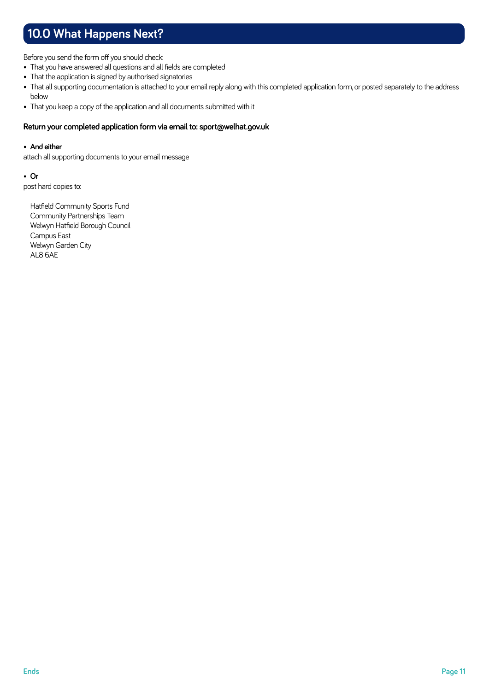# **10.0 What Happens Next?**

Before you send the form off you should check:

- That you have answered all questions and all fields are completed
- That the application is signed by authorised signatories
- That all supporting documentation is attached to your email reply along with this completed application form, or posted separately to the address below
- That you keep a copy of the application and all documents submitted with it

#### **Return your completed application form via email to: sport@welhat.gov.uk**

#### • **And either**

attach all supporting documents to your email message

• **Or** post hard copies to:

> Hatfield Community Sports Fund Community Partnerships Team Welwyn Hatfield Borough Council Campus East Welwyn Garden City AL8 6AE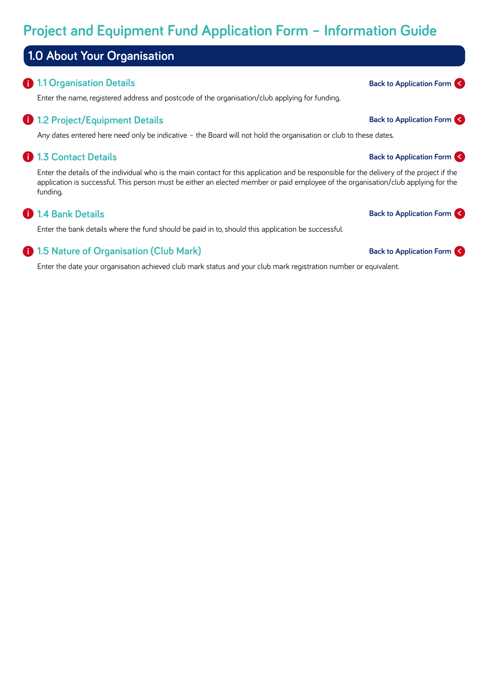# **Project and Equipment Fund Application Form – Information Guide**

# **1.0 About Your Organisation**

#### **1.1 Organisation Details**

Enter the name, registered address and postcode of the organisation/club applying for funding.

#### **1.2 Project/Equipment Details i**

Any dates entered here need only be indicative – the Board will not hold the organisation or club to these dates.

## **1.3 Contact Details i**

Enter the details of the individual who is the main contact for this application and be responsible for the delivery of the project if the application is successful. This person must be either an elected member or paid employee of the organisation/club applying for the funding.

## **1.4 Bank Details i**

Enter the bank details where the fund should be paid in to, should this application be successful.

## **1.5 Nature of Organisation (Club Mark)**

Enter the date your organisation achieved club mark status and your club mark registration number or equivalent.

# **Back to Application Form <**

# **Back to Application Form <**

# **Back to Application Form <**

# **Back to Application Form <**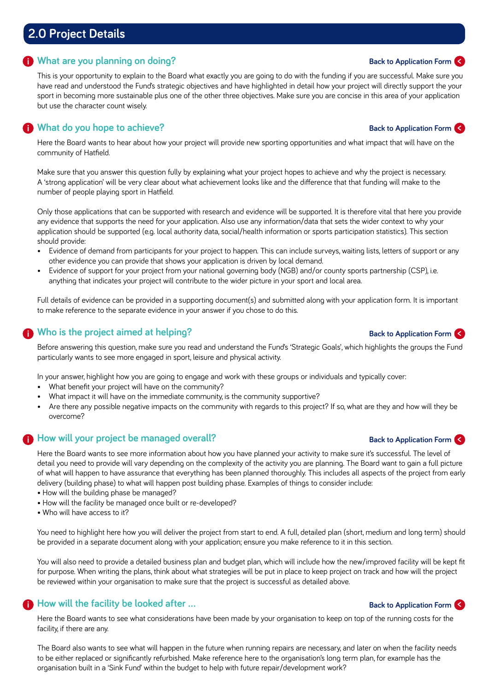# **2.0 Project Details**

#### **What are you planning on doing? i**

This is your opportunity to explain to the Board what exactly you are going to do with the funding if you are successful. Make sure you have read and understood the Fund's strategic objectives and have highlighted in detail how your project will directly support the your sport in becoming more sustainable plus one of the other three objectives. Make sure you are concise in this area of your application but use the character count wisely.

# **What do you hope to achieve? i**

Here the Board wants to hear about how your project will provide new sporting opportunities and what impact that will have on the community of Hatfield.

Make sure that you answer this question fully by explaining what your project hopes to achieve and why the project is necessary. A 'strong application' will be very clear about what achievement looks like and the difference that that funding will make to the number of people playing sport in Hatfield.

Only those applications that can be supported with research and evidence will be supported. It is therefore vital that here you provide any evidence that supports the need for your application. Also use any information/data that sets the wider context to why your application should be supported (e.g. local authority data, social/health information or sports participation statistics). This section should provide:

- Evidence of demand from participants for your project to happen. This can include surveys, waiting lists, letters of support or any other evidence you can provide that shows your application is driven by local demand.
- Evidence of support for your project from your national governing body (NGB) and/or county sports partnership (CSP), i.e. anything that indicates your project will contribute to the wider picture in your sport and local area.

Full details of evidence can be provided in a supporting document(s) and submitted along with your application form. It is important to make reference to the separate evidence in your answer if you chose to do this.

# **Who is the project aimed at helping? i**

Before answering this question, make sure you read and understand the Fund's 'Strategic Goals', which highlights the groups the Fund particularly wants to see more engaged in sport, leisure and physical activity.

In your answer, highlight how you are going to engage and work with these groups or individuals and typically cover:

- What benefit your project will have on the community?
- What impact it will have on the immediate community, is the community supportive?
- Are there any possible negative impacts on the community with regards to this project? If so, what are they and how will they be overcome?

## **How will your project be managed overall? i**

Here the Board wants to see more information about how you have planned your activity to make sure it's successful. The level of detail you need to provide will vary depending on the complexity of the activity you are planning. The Board want to gain a full picture of what will happen to have assurance that everything has been planned thoroughly. This includes all aspects of the project from early delivery (building phase) to what will happen post building phase. Examples of things to consider include:

- How will the building phase be managed?
- How will the facility be managed once built or re-developed?
- Who will have access to it?

**i**

You need to highlight here how you will deliver the project from start to end. A full, detailed plan (short, medium and long term) should be provided in a separate document along with your application; ensure you make reference to it in this section.

You will also need to provide a detailed business plan and budget plan, which will include how the new/improved facility will be kept fit for purpose. When writing the plans, think about what strategies will be put in place to keep project on track and how will the project be reviewed within your organisation to make sure that the project is successful as detailed above.

# **How will the facility be looked after ...**

Here the Board wants to see what considerations have been made by your organisation to keep on top of the running costs for the facility, if there are any.

The Board also wants to see what will happen in the future when running repairs are necessary, and later on when the facility needs to be either replaced or significantly refurbished. Make reference here to the organisation's long term plan, for example has the organisation built in a 'Sink Fund' within the budget to help with future repair/development work?

# **Back to Application Form <**

#### **Back to Application Form <**

**Back to Application Form <**

#### **Back to Application Form <**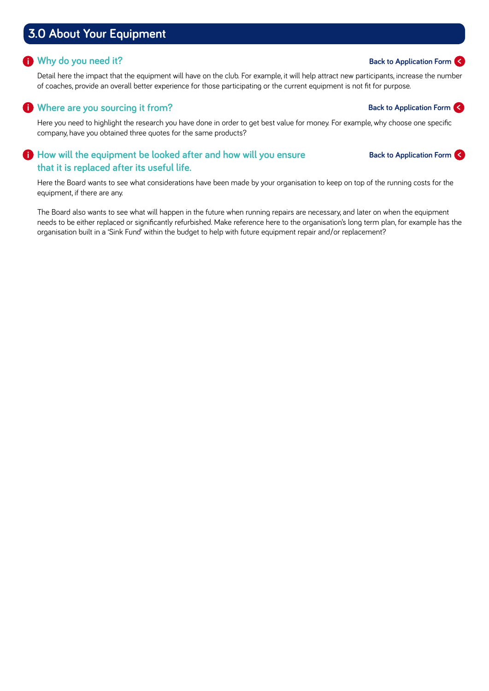# **3.0 About Your Equipment**

#### **Why do you need it? i**

Detail here the impact that the equipment will have on the club. For example, it will help attract new participants, increase the number of coaches, provide an overall better experience for those participating or the current equipment is not fit for purpose.

# **Where are you sourcing it from? i**

Here you need to highlight the research you have done in order to get best value for money. For example, why choose one specific company, have you obtained three quotes for the same products?

#### **How will the equipment be looked after and how will you ensure i that it is replaced after its useful life.**

Here the Board wants to see what considerations have been made by your organisation to keep on top of the running costs for the equipment, if there are any.

The Board also wants to see what will happen in the future when running repairs are necessary, and later on when the equipment needs to be either replaced or significantly refurbished. Make reference here to the organisation's long term plan, for example has the organisation built in a 'Sink Fund' within the budget to help with future equipment repair and/or replacement?

#### **Back to Application Form <**

#### **Back to Application Form <**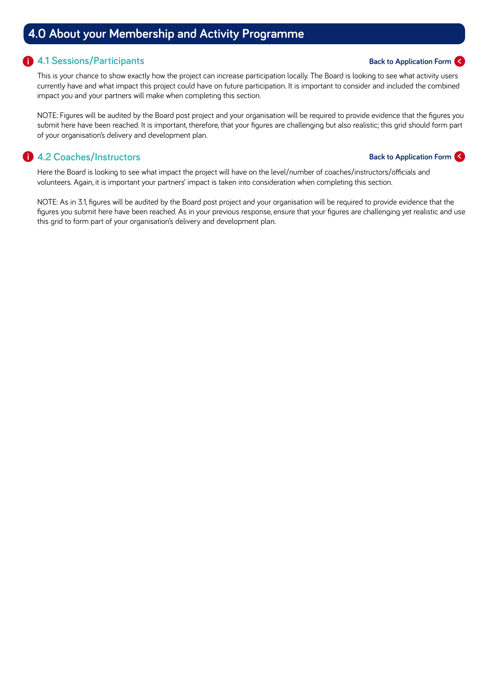# **4.0 About your Membership and Activity Programme**

#### **4.1 Sessions/Participants i**

This is your chance to show exactly how the project can increase participation locally. The Board is looking to see what activity users currently have and what impact this project could have on future participation. It is important to consider and included the combined impact you and your partners will make when completing this section.

NOTE: Figures will be audited by the Board post project and your organisation will be required to provide evidence that the figures you submit here have been reached. It is important, therefore, that your figures are challenging but also realistic; this grid should form part of your organisation's delivery and development plan.

# **4.2 Coaches/Instructors i**

#### **Back to Application Form <**

**Back to Application Form <**

Here the Board is looking to see what impact the project will have on the level/number of coaches/instructors/officials and volunteers. Again, it is important your partners' impact is taken into consideration when completing this section.

NOTE: As in 3.1, figures will be audited by the Board post project and your organisation will be required to provide evidence that the figures you submit here have been reached. As in your previous response, ensure that your figures are challenging yet realistic and use this grid to form part of your organisation's delivery and development plan.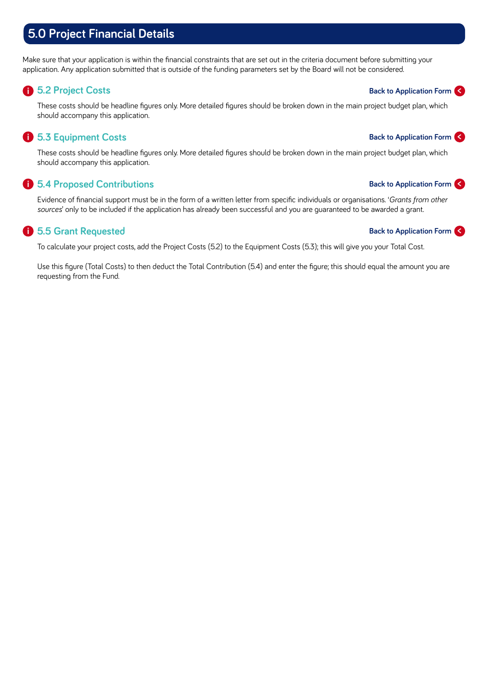# **5.0 Project Financial Details**

Make sure that your application is within the financial constraints that are set out in the criteria document before submitting your application. Any application submitted that is outside of the funding parameters set by the Board will not be considered.

## **5.2 Project Costs i**

These costs should be headline figures only. More detailed figures should be broken down in the main project budget plan, which should accompany this application.

# **5.3 Equipment Costs i**

These costs should be headline figures only. More detailed figures should be broken down in the main project budget plan, which should accompany this application.

## **5.4 Proposed Contributions i**

Evidence of financial support must be in the form of a written letter from specific individuals or organisations. '*Grants from other sources*' only to be included if the application has already been successful and you are guaranteed to be awarded a grant.

# **5.5 Grant Requested i**

To calculate your project costs, add the Project Costs (5.2) to the Equipment Costs (5.3); this will give you your Total Cost.

Use this figure (Total Costs) to then deduct the Total Contribution (5.4) and enter the figure; this should equal the amount you are requesting from the Fund.

# **Back to Application Form <**

#### **Back to Application Form <**

**Back to Application Form <**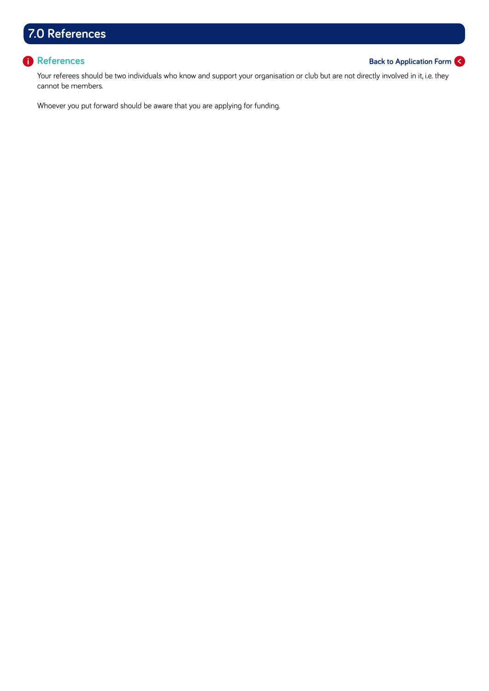# **7.0 References**

#### **References i**

#### **Back to Application Form <**

Your referees should be two individuals who know and support your organisation or club but are not directly involved in it, i.e. they cannot be members.

Whoever you put forward should be aware that you are applying for funding.